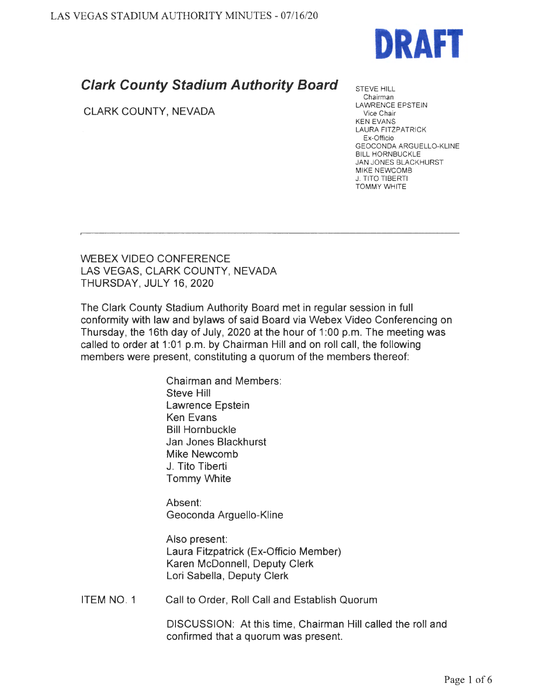

## **Clark County Stadium Authority Board**

CLARK COUNTY, NEVADA

STEVE HILL Chairman LAWRENCE EPSTEIN Vice Chair KEN EVANS LAURA FITZPATRICK Ex-Officio GEOCONDA ARGUELLO-KLINE BILL HORNBUCKLE JAN JONES BLACKHURST MIKE NEWCOMB **J. TITO TIBERTI** TOMMY WHITE

WEBEX VIDEO CONFERENCE LAS VEGAS, CLARK COUNTY, NEVADA THURSDAY, JULY 16, 2020

The Clark County Stadium Authority Board met in regular session in full conformity with law and bylaws of said Board via Webex Video Conferencing on Thursday, the 16th day of July, 2020 at the hour of 1 :00 p.m. The meeting was called to order at 1:01 p.m. by Chairman Hill and on roll call, the following members were present, constituting a quorum of the members thereof:

> Chairman and Members: Steve Hill Lawrence Epstein Ken Evans Bill Hornbuckle Jan Jones Blackhurst Mike Newcomb J. Tito Tiberti Tommy White

Absent: Geoconda Arguello-Kline

Also present: Laura Fitzpatrick (Ex-Officio Member) Karen McDonnell, Deputy Clerk Lori Sabella, Deputy Clerk

ITEM NO. 1 Call to Order, Roll Call and Establish Quorum

> DISCUSSION: At this time, Chairman Hill called the roll and confirmed that a quorum was present.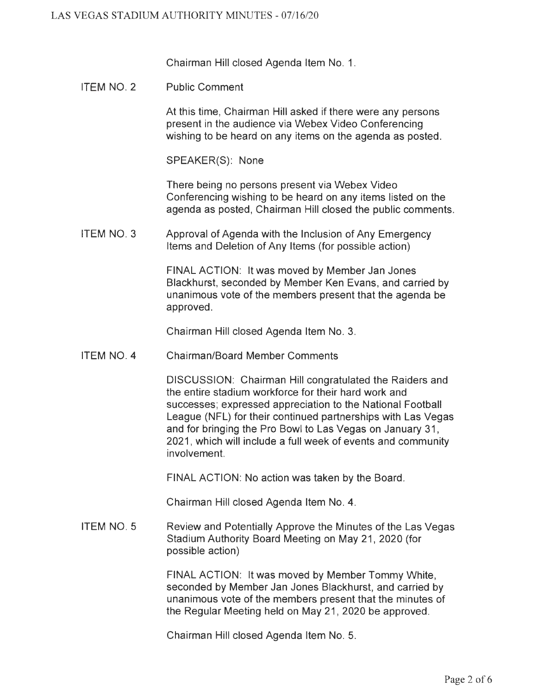Chairman Hill closed Agenda Item No. 1.

ITEM NO. 2 Public Comment

> At this time, Chairman Hill asked if there were any persons present in the audience via Webex Video Conferencing wishing to be heard on any items on the agenda as posted.

SPEAKER(S): None

There being no persons present via Webex Video Conferencing wishing to be heard on any items listed on the agenda as posted, Chairman Hill closed the public comments.

ITEM NO. 3 Approval of Agenda with the Inclusion of Any Emergency Items and Deletion of Any Items (for possible action)

> FINAL ACTION: It was moved by Member Jan Jones Blackhurst, seconded by Member Ken Evans, and carried by unanimous vote of the members present that the agenda be approved.

Chairman Hill closed Agenda Item No. 3.

ITEM NO. 4 Chairman/Board Member Comments

> DISCUSSION: Chairman Hill congratulated the Raiders and the entire stadium workforce for their hard work and successes; expressed appreciation to the National Football League (NFL) for their continued partnerships with Las Vegas and for bringing the Pro Bowl to Las Vegas on January 31 , 2021, which will include a full week of events and community involvement.

FINAL ACTION: No action was taken by the Board.

Chairman Hill closed Agenda Item No. 4.

ITEM NO. 5 Review and Potentially Approve the Minutes of the Las Vegas Stadium Authority Board Meeting on May 21, 2020 (for possible action)

> FINAL ACTION: It was moved by Member Tommy White, seconded by Member Jan Jones Blackhurst, and carried by unanimous vote of the members present that the minutes of the Regular Meeting held on May 21, 2020 be approved.

Chairman Hill closed Agenda Item No. 5.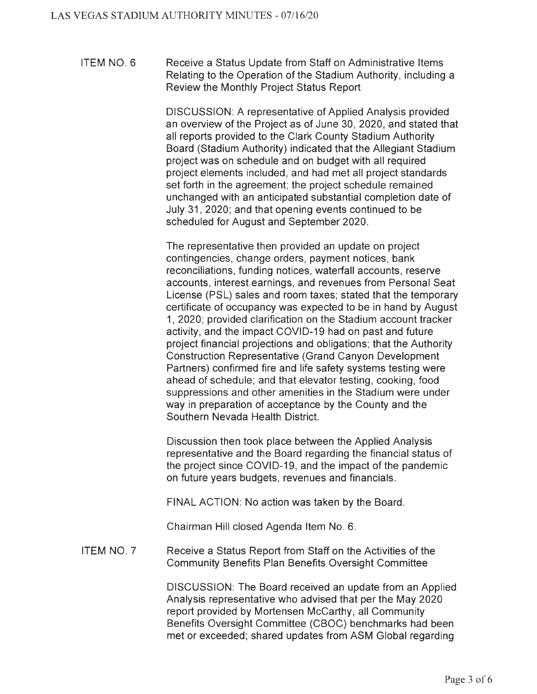ITEM NO. 6 Receive a Status Update from Staff on Administrative Items Relating to the Operation of the Stadium Authority, including a Review the Monthly Project Status Report

> DISCUSSION: A representative of Applied Analysis provided an overview of the Project as of June 30, 2020, and stated that all reports provided to the Clark County Stadium Authority Board (Stadium Authority) indicated that the Allegiant Stadium project was on schedule and on budget with all required project elements included, and had met all project standards set forth in the agreement; the project schedule remained unchanged with an anticipated substantial completion date of July 31, 2020; and that opening events continued to be scheduled for August and September 2020.

> The representative then provided an update on project contingencies, change orders, payment notices, bank reconciliations, funding notices, waterfall accounts, reserve accounts, interest earnings, and revenues from Personal Seat License (PSL) sales and room taxes; stated that the temporary certificate of occupancy was expected to be in hand by August 1, 2020; provided clarification on the Stadium account tracker activity, and the impact COVID-19 had on past and future project financial projections and obligations; that the Authority Construction Representative (Grand Canyon Development Partners) confirmed fire and life safety systems testing were ahead of schedule; and that elevator testing, cooking, food suppressions and other amenities in the Stadium were under way in preparation of acceptance by the County and the Southern Nevada Health District.

Discussion then took place between the Applied Analysis representative and the Board regarding the financial status of the project since COVID-19, and the impact of the pandemic on future years budgets, revenues and financials.

FINAL ACTION: No action was taken by the Board.

Chairman Hill closed Agenda Item No. 6.

ITEM NO. 7 Receive a Status Report from Staff on the Activities of the Community Benefits Plan Benefits Oversight Committee

> DISCUSSION: The Board received an update from an Applied Analysis representative who advised that per the May 2020 report provided by Mortensen McCarthy, all Community Benefits Oversight Committee (CBOC) benchmarks had been met or exceeded; shared updates from ASM Global regarding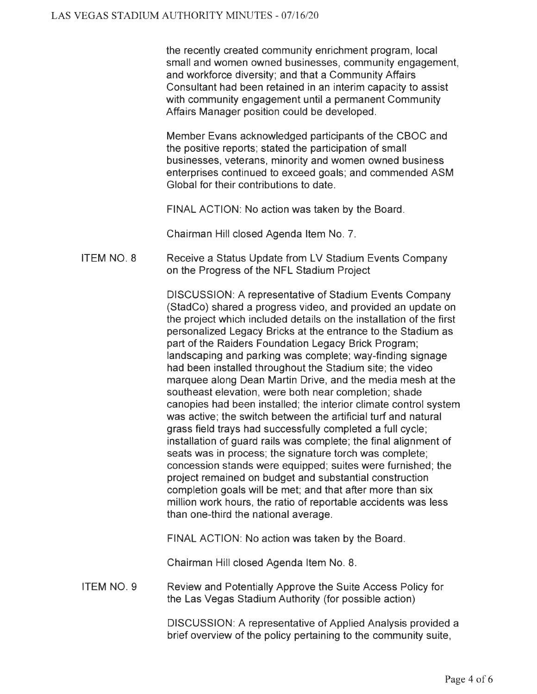the recently created community enrichment program, local small and women owned businesses, community engagement, and workforce diversity; and that a Community Affairs Consultant had been retained in an interim capacity to assist with community engagement until a permanent Community Affairs Manager position could be developed.

Member Evans acknowledged participants of the CBOC and the positive reports; stated the participation of small businesses, veterans, minority and women owned business enterprises continued to exceed goals; and commended ASM Global for their contributions to date.

FINAL ACTION: No action was taken by the Board.

Chairman Hill closed Agenda Item No. 7.

ITEM NO. 8 Receive a Status Update from LV Stadium Events Company on the Progress of the NFL Stadium Project

> DISCUSSION: A representative of Stadium Events Company (StadCo) shared a progress video, and provided an update on the project which included details on the installation of the first personalized Legacy Bricks at the entrance to the Stadium as part of the Raiders Foundation Legacy Brick Program; landscaping and parking was complete; way-finding signage had been installed throughout the Stadium site; the video marquee along Dean Martin Drive, and the media mesh at the southeast elevation, were both near completion; shade canopies had been installed; the interior climate control system was active; the switch between the artificial turf and natural grass field trays had successfully completed a full cycle; installation of guard rails was complete; the final alignment of seats was in process; the signature torch was complete; concession stands were equipped; suites were furnished ; the project remained on budget and substantial construction completion goals will be met; and that after more than six million work hours, the ratio of reportable accidents was less than one-third the national average.

FINAL ACTION: No action was taken by the Board.

Chairman Hill closed Agenda Item No. 8.

ITEM NO. 9 Review and Potentially Approve the Suite Access Policy for the Las Vegas Stadium Authority (for possible action)

> DISCUSSION: A representative of Applied Analysis provided a brief overview of the policy pertaining to the community suite,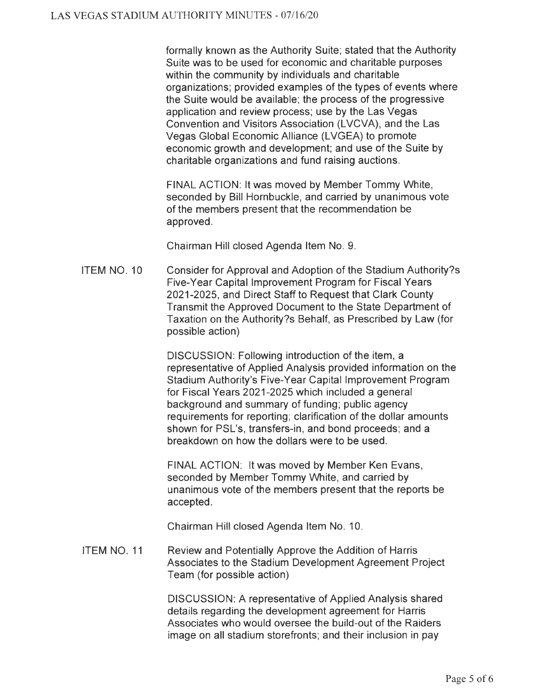formally known as the Authority Suite; stated that the Authority Suite was to be used for economic and charitable purposes within the community by individuals and charitable organizations; provided examples of the types of events where the Suite would be available; the process of the progressive application and review process; use by the Las Vegas Convention and Visitors Association (LVCVA), and the Las Vegas Global Economic Alliance (LVGEA) to promote economic growth and development; and use of the Suite by charitable organizations and fund raising auctions.

FINAL ACTION: It was moved by Member Tommy White, seconded by Bill Hornbuckle, and carried by unanimous vote of the members present that the recommendation be approved.

Chairman Hill closed Agenda Item No. 9.

ITEM NO. 10 Consider for Approval and Adoption of the Stadium Authority?s Five-Year Capital Improvement Program for Fiscal Years 2021-2025, and Direct Staff to Request that Clark County Transmit the Approved Document to the State Department of Taxation on the Authority?s Behalf, as Prescribed by Law (for possible action)

> DISCUSSION: Following introduction of the item, a representative of Applied Analysis provided information on the Stadium Authority's Five-Year Capital Improvement Program for Fiscal Years 2021-2025 which included a general background and summary of funding; public agency requirements for reporting; clarification of the dollar amounts shown for PSL's, transfers-in, and bond proceeds; and a breakdown on how the dollars were to be used.

FINAL ACTION: It was moved by Member Ken Evans, seconded by Member Tommy White, and carried by unanimous vote of the members present that the reports be accepted.

Chairman Hill closed Agenda Item No. 10.

ITEM NO. 11 Review and Potentially Approve the Addition of Harris Associates to the Stadium Development Agreement Project Team (for possible action)

> DISCUSSION: A representative of Applied Analysis shared details regarding the development agreement for Harris Associates who would oversee the build-out of the Raiders image on all stadium storefronts; and their inclusion in pay